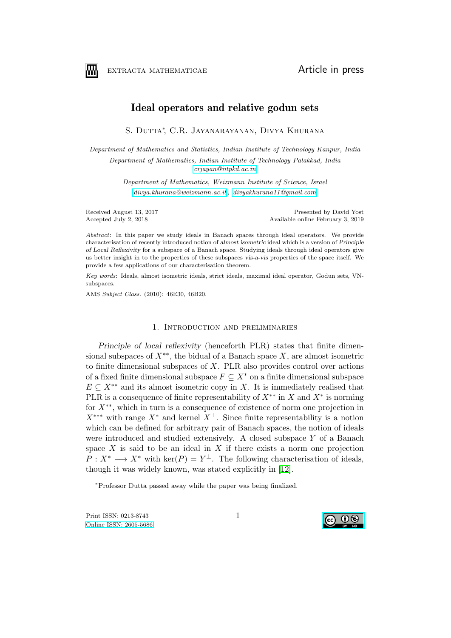

EXTRACTA MATHEMATICAE **Article** in press

# Ideal operators and relative godun sets

S. Dutta∗ , C.R. Jayanarayanan, Divya Khurana

Department of Mathematics and Statistics, Indian Institute of Technology Kanpur, India Department of Mathematics, Indian Institute of Technology Palakkad, India [crjayan@iitpkd.ac.in](mailto:crjayan@iitpkd.ac.in)

> Department of Mathematics, Weizmann Institute of Science, Israel [divya.khurana@weizmann.ac.il](mailto:divya.khurana@weizmann.ac.il) , [divyakhurana11@gmail.com](mailto:divyakhurana11@gmail.com)

Received August 13, 2017 Presented by David Yost Accepted July 2, 2018 Presented by David Yost Accepted July 2, 2018 Available online February 3, 2019

Abstract: In this paper we study ideals in Banach spaces through ideal operators. We provide characterisation of recently introduced notion of almost isometric ideal which is a version of Principle of Local Reflexivity for a subspace of a Banach space. Studying ideals through ideal operators give us better insight in to the properties of these subspaces vis-a-vis properties of the space itself. We provide a few applications of our characterisation theorem.

Key words: Ideals, almost isometric ideals, strict ideals, maximal ideal operator, Godun sets, VNsubspaces.

AMS Subject Class. (2010): 46E30, 46B20.

# 1. Introduction and preliminaries

Principle of local reflexivity (henceforth PLR) states that finite dimensional subspaces of  $X^{**}$ , the bidual of a Banach space  $X$ , are almost isometric to finite dimensional subspaces of  $X$ . PLR also provides control over actions of a fixed finite dimensional subspace  $F \subseteq X^*$  on a finite dimensional subspace  $E \subseteq X^{**}$  and its almost isometric copy in X. It is immediately realised that PLR is a consequence of finite representability of  $X^{**}$  in X and  $X^*$  is norming for X∗∗, which in turn is a consequence of existence of norm one projection in  $X^{***}$  with range  $X^*$  and kernel  $X^{\perp}$ . Since finite representability is a notion which can be defined for arbitrary pair of Banach spaces, the notion of ideals were introduced and studied extensively. A closed subspace Y of a Banach space X is said to be an ideal in X if there exists a norm one projection  $P: X^* \longrightarrow X^*$  with ker $(P) = Y^{\perp}$ . The following characterisation of ideals, though it was widely known, was stated explicitly in [\[12\]](#page-16-0).



<span id="page-0-0"></span><sup>∗</sup>Professor Dutta passed away while the paper was being finalized.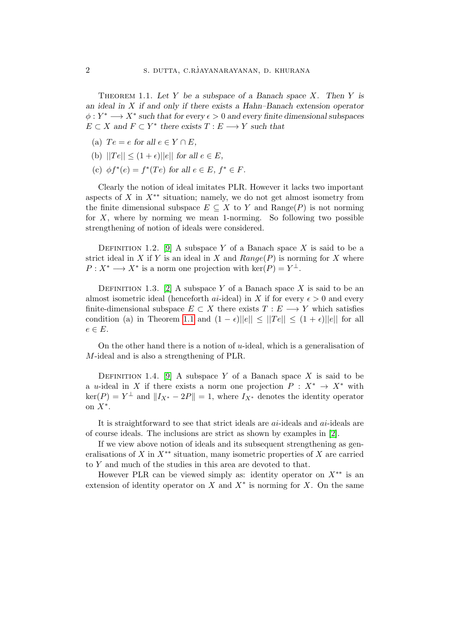THEOREM 1.1. Let Y be a subspace of a Banach space X. Then Y is an ideal in X if and only if there exists a Hahn–Banach extension operator  $\phi: Y^* \longrightarrow X^*$  such that for every  $\epsilon > 0$  and every finite dimensional subspaces  $E \subset X$  and  $F \subset Y^*$  there exists  $T : E \longrightarrow Y$  such that

- (a)  $Te = e$  for all  $e \in Y \cap E$ ,
- (b)  $||Te|| \leq (1+\epsilon)||e||$  for all  $e \in E$ ,
- (c)  $\phi f^*(e) = f^*(Te)$  for all  $e \in E, f^* \in F$ .

Clearly the notion of ideal imitates PLR. However it lacks two important aspects of X in  $X^{**}$  situation; namely, we do not get almost isometry from the finite dimensional subspace  $E \subseteq X$  to Y and  $\text{Range}(P)$  is not norming for  $X$ , where by norming we mean 1-norming. So following two possible strengthening of notion of ideals were considered.

DEFINITION 1.2. [\[9\]](#page-15-0) A subspace Y of a Banach space X is said to be a strict ideal in X if Y is an ideal in X and  $Range(P)$  is norming for X where  $P: X^* \longrightarrow X^*$  is a norm one projection with  $\ker(P) = Y^{\perp}$ .

DEFINITION 1.3. [\[2\]](#page-15-1) A subspace Y of a Banach space X is said to be an almost isometric ideal (henceforth *ai*-ideal) in X if for every  $\epsilon > 0$  and every finite-dimensional subspace  $E \subset X$  there exists  $T : E \longrightarrow Y$  which satisfies condition (a) in Theorem [1.1](#page-0-0) and  $(1 - \epsilon)||e|| \leq ||Te|| \leq (1 + \epsilon)||e||$  for all  $e \in E$ .

On the other hand there is a notion of u-ideal, which is a generalisation of M-ideal and is also a strengthening of PLR.

DEFINITION 1.4. [\[9\]](#page-15-0) A subspace Y of a Banach space X is said to be a u-ideal in X if there exists a norm one projection  $P: X^* \to X^*$  with  $\ker(P) = Y^{\perp}$  and  $||I_{X^*} - 2P|| = 1$ , where  $I_{X^*}$  denotes the identity operator on  $X^*$ .

It is straightforward to see that strict ideals are  $ai$ -ideals and  $ai$ -ideals are of course ideals. The inclusions are strict as shown by examples in [\[2\]](#page-15-1).

If we view above notion of ideals and its subsequent strengthening as generalisations of X in  $X^{**}$  situation, many isometric properties of X are carried to Y and much of the studies in this area are devoted to that.

However PLR can be viewed simply as: identity operator on  $X^{**}$  is an extension of identity operator on  $X$  and  $X^*$  is norming for  $X$ . On the same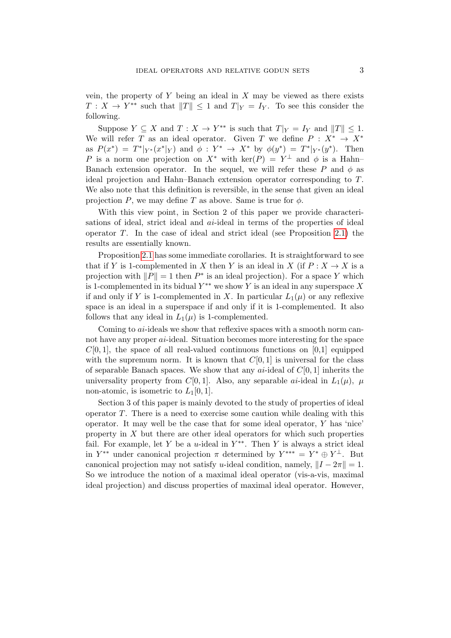vein, the property of  $Y$  being an ideal in  $X$  may be viewed as there exists  $T: X \to Y^{**}$  such that  $||T|| \leq 1$  and  $T|_Y = I_Y$ . To see this consider the following.

Suppose  $Y \subseteq X$  and  $T : X \to Y^{**}$  is such that  $T|_Y = I_Y$  and  $||T|| \leq 1$ . We will refer T as an ideal operator. Given T we define  $P: X^* \to X^*$ as  $P(x^*) = T^*|_{Y^*}(x^*|_Y)$  and  $\phi: Y^* \to X^*$  by  $\phi(y^*) = T^*|_{Y^*}(y^*)$ . Then P is a norm one projection on  $X^*$  with  $\ker(P) = Y^{\perp}$  and  $\phi$  is a Hahn-Banach extension operator. In the sequel, we will refer these P and  $\phi$  as ideal projection and Hahn–Banach extension operator corresponding to T. We also note that this definition is reversible, in the sense that given an ideal projection P, we may define T as above. Same is true for  $\phi$ .

With this view point, in Section 2 of this paper we provide characterisations of ideal, strict ideal and *ai*-ideal in terms of the properties of ideal operator  $T$ . In the case of ideal and strict ideal (see Proposition [2.1\)](#page-4-0) the results are essentially known.

Proposition [2.1](#page-4-0) has some immediate corollaries. It is straightforward to see that if Y is 1-complemented in X then Y is an ideal in X (if  $P: X \to X$  is a projection with  $||P|| = 1$  then  $P^*$  is an ideal projection). For a space Y which is 1-complemented in its bidual  $Y^{**}$  we show Y is an ideal in any superspace X if and only if Y is 1-complemented in X. In particular  $L_1(\mu)$  or any reflexive space is an ideal in a superspace if and only if it is 1-complemented. It also follows that any ideal in  $L_1(\mu)$  is 1-complemented.

Coming to *ai*-ideals we show that reflexive spaces with a smooth norm cannot have any proper ai-ideal. Situation becomes more interesting for the space  $C[0, 1]$ , the space of all real-valued continuous functions on  $[0, 1]$  equipped with the supremum norm. It is known that  $C[0, 1]$  is universal for the class of separable Banach spaces. We show that any  $ai$ -ideal of  $C[0, 1]$  inherits the universality property from C[0, 1]. Also, any separable ai-ideal in  $L_1(\mu)$ ,  $\mu$ non-atomic, is isometric to  $L_1[0,1]$ .

Section 3 of this paper is mainly devoted to the study of properties of ideal operator  $T$ . There is a need to exercise some caution while dealing with this operator. It may well be the case that for some ideal operator,  $Y$  has 'nice' property in  $X$  but there are other ideal operators for which such properties fail. For example, let Y be a u-ideal in  $Y^{**}$ . Then Y is always a strict ideal in  $Y^{**}$  under canonical projection  $\pi$  determined by  $Y^{***} = Y^* \oplus Y^{\perp}$ . But canonical projection may not satisfy u-ideal condition, namely,  $||I - 2\pi|| = 1$ . So we introduce the notion of a maximal ideal operator (vis-a-vis, maximal ideal projection) and discuss properties of maximal ideal operator. However,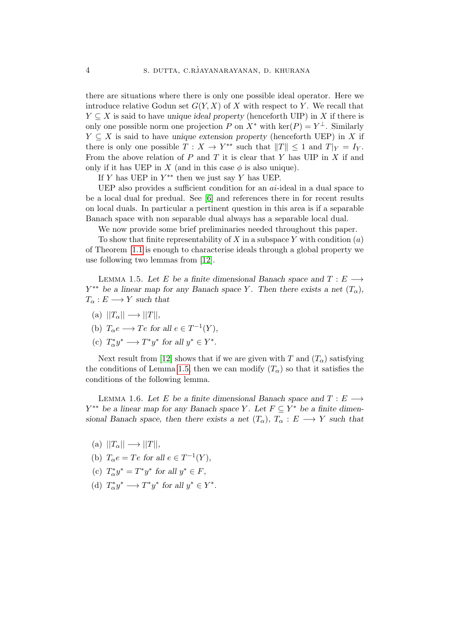there are situations where there is only one possible ideal operator. Here we introduce relative Godun set  $G(Y, X)$  of X with respect to Y. We recall that  $Y \subseteq X$  is said to have unique ideal property (henceforth UIP) in X if there is only one possible norm one projection P on  $X^*$  with  $\ker(P) = Y^{\perp}$ . Similarly  $Y \subseteq X$  is said to have unique extension property (henceforth UEP) in X if there is only one possible  $T : X \to Y^{**}$  such that  $||T|| \leq 1$  and  $T|_Y = I_Y$ . From the above relation of  $P$  and  $T$  it is clear that  $Y$  has UIP in  $X$  if and only if it has UEP in X (and in this case  $\phi$  is also unique).

If Y has UEP in  $Y^{**}$  then we just say Y has UEP.

UEP also provides a sufficient condition for an  $ai$ -ideal in a dual space to be a local dual for predual. See [\[6\]](#page-15-2) and references there in for recent results on local duals. In particular a pertinent question in this area is if a separable Banach space with non separable dual always has a separable local dual.

We now provide some brief preliminaries needed throughout this paper.

To show that finite representability of X in a subspace Y with condition  $(a)$ of Theorem [1.1](#page-0-0) is enough to characterise ideals through a global property we use following two lemmas from [\[12\]](#page-16-0).

<span id="page-3-0"></span>LEMMA 1.5. Let E be a finite dimensional Banach space and  $T: E \longrightarrow$  $Y^{**}$  be a linear map for any Banach space Y. Then there exists a net  $(T_{\alpha})$ ,  $T_{\alpha}: E \longrightarrow Y$  such that

- (a)  $||T_{\alpha}|| \longrightarrow ||T||,$
- (b)  $T_{\alpha}e \longrightarrow Te$  for all  $e \in T^{-1}(Y)$ ,
- <span id="page-3-1"></span>(c)  $T^*_{\alpha}y^* \longrightarrow T^*y^*$  for all  $y^* \in Y^*$ .

Next result from [\[12\]](#page-16-0) shows that if we are given with T and  $(T_{\alpha})$  satisfying the conditions of Lemma [1.5,](#page-3-0) then we can modify  $(T_{\alpha})$  so that it satisfies the conditions of the following lemma.

LEMMA 1.6. Let E be a finite dimensional Banach space and  $T: E \longrightarrow$  $Y^{**}$  be a linear map for any Banach space Y. Let  $F \subseteq Y^*$  be a finite dimensional Banach space, then there exists a net  $(T_{\alpha})$ ,  $T_{\alpha}: E \longrightarrow Y$  such that

- (a)  $||T_{\alpha}|| \longrightarrow ||T||,$
- (b)  $T_{\alpha}e = Te$  for all  $e \in T^{-1}(Y)$ ,
- (c)  $T^*_{\alpha}y^* = T^*y^*$  for all  $y^* \in F$ ,
- (d)  $T^*_{\alpha}y^* \longrightarrow T^*y^*$  for all  $y^* \in Y^*$ .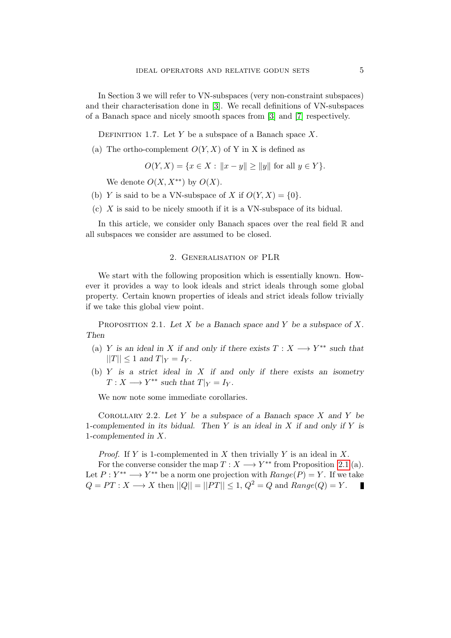In Section 3 we will refer to VN-subspaces (very non-constraint subspaces) and their characterisation done in [\[3\]](#page-15-3). We recall definitions of VN-subspaces of a Banach space and nicely smooth spaces from [\[3\]](#page-15-3) and [\[7\]](#page-15-4) respectively.

DEFINITION 1.7. Let Y be a subspace of a Banach space  $X$ .

(a) The ortho-complement  $O(Y, X)$  of Y in X is defined as

$$
O(Y, X) = \{ x \in X : ||x - y|| \ge ||y|| \text{ for all } y \in Y \}.
$$

We denote  $O(X, X^{**})$  by  $O(X)$ .

- (b) Y is said to be a VN-subspace of X if  $O(Y, X) = \{0\}.$
- (c) X is said to be nicely smooth if it is a VN-subspace of its bidual.

In this article, we consider only Banach spaces over the real field  $\mathbb R$  and all subspaces we consider are assumed to be closed.

# 2. Generalisation of PLR

We start with the following proposition which is essentially known. However it provides a way to look ideals and strict ideals through some global property. Certain known properties of ideals and strict ideals follow trivially if we take this global view point.

<span id="page-4-0"></span>PROPOSITION 2.1. Let X be a Banach space and Y be a subspace of X. Then

- (a) Y is an ideal in X if and only if there exists  $T : X \longrightarrow Y^{**}$  such that  $||T|| \leq 1$  and  $T|_Y = I_Y$ .
- (b)  $Y$  is a strict ideal in  $X$  if and only if there exists an isometry  $T: X \longrightarrow Y^{**}$  such that  $T|_Y = I_Y$ .

We now note some immediate corollaries.

<span id="page-4-1"></span>COROLLARY 2.2. Let Y be a subspace of a Banach space  $X$  and Y be 1-complemented in its bidual. Then  $Y$  is an ideal in  $X$  if and only if  $Y$  is 1-complemented in X.

*Proof.* If Y is 1-complemented in X then trivially Y is an ideal in X.

For the converse consider the map  $T: X \longrightarrow Y^{**}$  from Proposition [2.1](#page-4-0) (a). Let  $P: Y^{**} \longrightarrow Y^{**}$  be a norm one projection with  $Range(P) = Y$ . If we take  $Q = PT : X \longrightarrow X$  then  $||Q|| = ||PT|| \leq 1, Q^2 = Q$  and  $Range(Q) = Y$ . Г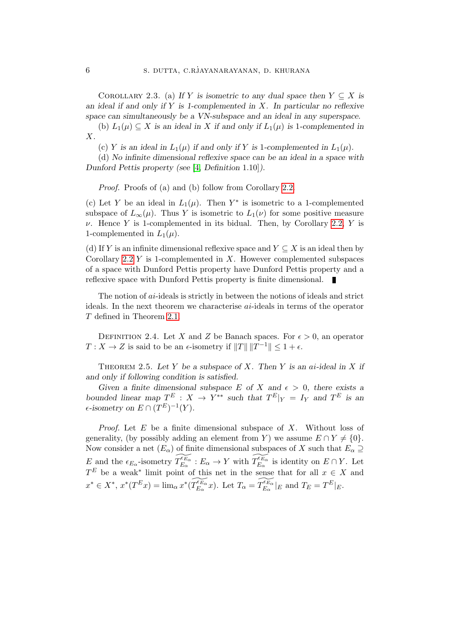COROLLARY 2.3. (a) If Y is isometric to any dual space then  $Y \subseteq X$  is an ideal if and only if  $Y$  is 1-complemented in  $X$ . In particular no reflexive space can simultaneously be a VN-subspace and an ideal in any superspace.

(b)  $L_1(\mu) \subseteq X$  is an ideal in X if and only if  $L_1(\mu)$  is 1-complemented in X.

(c) Y is an ideal in  $L_1(\mu)$  if and only if Y is 1-complemented in  $L_1(\mu)$ .

(d) No infinite dimensional reflexive space can be an ideal in a space with Dunford Pettis property (see [\[4,](#page-15-5) Definition 1.10]).

Proof. Proofs of (a) and (b) follow from Corollary [2.2.](#page-4-1)

(c) Let Y be an ideal in  $L_1(\mu)$ . Then Y<sup>\*</sup> is isometric to a 1-complemented subspace of  $L_{\infty}(\mu)$ . Thus Y is isometric to  $L_1(\nu)$  for some positive measure  $\nu$ . Hence Y is 1-complemented in its bidual. Then, by Corollary [2.2,](#page-4-1) Y is 1-complemented in  $L_1(\mu)$ .

(d) If Y is an infinite dimensional reflexive space and  $Y \subseteq X$  is an ideal then by Corollary [2.2](#page-4-1)  $Y$  is 1-complemented in  $X$ . However complemented subspaces of a space with Dunford Pettis property have Dunford Pettis property and a reflexive space with Dunford Pettis property is finite dimensional. ×

The notion of ai-ideals is strictly in between the notions of ideals and strict ideals. In the next theorem we characterise ai-ideals in terms of the operator T defined in Theorem [2.1.](#page-4-0)

DEFINITION 2.4. Let X and Z be Banach spaces. For  $\epsilon > 0$ , an operator  $T: X \to Z$  is said to be an  $\epsilon$ -isometry if  $||T|| ||T^{-1}|| \leq 1 + \epsilon$ .

<span id="page-5-0"></span>THEOREM 2.5. Let Y be a subspace of X. Then Y is an ai-ideal in X if and only if following condition is satisfied.

Given a finite dimensional subspace E of X and  $\epsilon > 0$ , there exists a bounded linear map  $T^E: X \to Y^{**}$  such that  $T^E|_Y = I_Y$  and  $T^E$  is an  $\epsilon$ -isometry on  $E \cap (T^E)^{-1}(Y)$ .

*Proof.* Let  $E$  be a finite dimensional subspace of  $X$ . Without loss of generality, (by possibly adding an element from Y) we assume  $E \cap Y \neq \{0\}.$ Now consider a net  $(E_{\alpha})$  of finite dimensional subspaces of X such that  $E_{\alpha} \supseteq$ E and the  $\epsilon_{E_\alpha}$ -isometry  $\widetilde{T_{E_\alpha}^{\epsilon_{E_\alpha}}} : E_\alpha \to Y$  with  $\widetilde{T_{E_\alpha}^{\epsilon_{E_\alpha}}}$  is identity on  $E \cap Y$ . Let  $T^E$  be a weak<sup>\*</sup> limit point of this net in the sense that for all  $x \in X$  and  $x^* \in X^*, x^*(T^E x) = \lim_{\alpha} x^*(\widetilde{T_{E_{\alpha}}^{E_{\alpha}}} x)$ . Let  $T_{\alpha} = \widetilde{T_{E_{\alpha}}^{E_{\alpha}}} |_{E}$  and  $T_E = T^E |_{E}$ .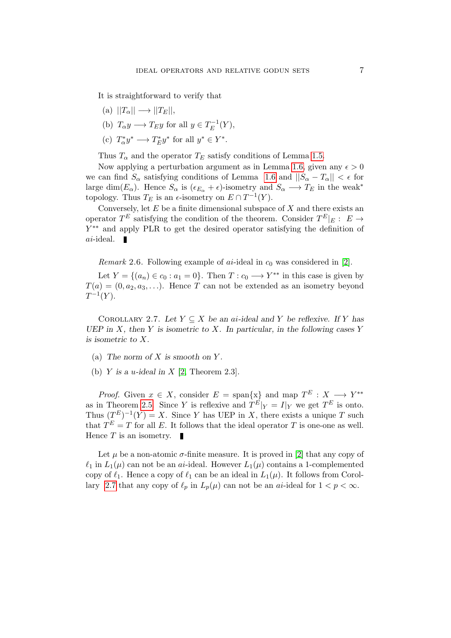It is straightforward to verify that

- $(a)$   $||T_{\alpha}|| \longrightarrow ||T_{E}||$ ,
- (b)  $T_{\alpha}y \longrightarrow T_Ey$  for all  $y \in T_E^{-1}$  $E^{-1}(Y),$
- (c)  $T^*_\alpha y^* \longrightarrow T^*_E y^*$  for all  $y^* \in Y^*$ .

Thus  $T_{\alpha}$  and the operator  $T_E$  satisfy conditions of Lemma [1.5.](#page-3-0)

Now applying a perturbation argument as in Lemma [1.6,](#page-3-1) given any  $\epsilon > 0$ we can find  $S_\alpha$  satisfying conditions of Lemma [1.6](#page-3-1) and  $||S_\alpha - T_\alpha|| < \epsilon$  for large dim( $E_{\alpha}$ ). Hence  $S_{\alpha}$  is  $(\epsilon_{E_{\alpha}} + \epsilon)$ -isometry and  $S_{\alpha} \longrightarrow T_E$  in the weak<sup>\*</sup> topology. Thus  $T_E$  is an  $\epsilon$ -isometry on  $E \cap T^{-1}(Y)$ .

Conversely, let  $E$  be a finite dimensional subspace of  $X$  and there exists an operator  $T^E$  satisfying the condition of the theorem. Consider  $T^E|_E: E \rightarrow$ Y ∗∗ and apply PLR to get the desired operator satisfying the definition of  $ai$ -ideal.

*Remark* 2.6. Following example of  $ai$ -ideal in  $c_0$  was considered in [\[2\]](#page-15-1).

Let  $Y = \{(a_n) \in c_0 : a_1 = 0\}$ . Then  $T : c_0 \longrightarrow Y^{**}$  in this case is given by  $T(a) = (0, a_2, a_3, \ldots)$ . Hence T can not be extended as an isometry beyond  $T^{-1}(Y).$ 

<span id="page-6-0"></span>COROLLARY 2.7. Let  $Y \subseteq X$  be an ai-ideal and Y be reflexive. If Y has UEP in X, then Y is isometric to X. In particular, in the following cases Y is isometric to X.

- (a) The norm of X is smooth on Y.
- (b) Y is a u-ideal in X [\[2,](#page-15-1) Theorem 2.3].

*Proof.* Given  $x \in X$ , consider  $E = \text{span}\{x\}$  and map  $T^E : X \longrightarrow Y^{**}$ as in Theorem [2.5.](#page-5-0) Since Y is reflexive and  $T^{E}|_Y = I|_Y$  we get  $T^{E}$  is onto. Thus  $(T^{E})^{-1}(Y) = X$ . Since Y has UEP in X, there exists a unique T such that  $T^{E} = T$  for all E. It follows that the ideal operator T is one-one as well. Hence  $T$  is an isometry.  $\blacksquare$ 

Let  $\mu$  be a non-atomic  $\sigma$ -finite measure. It is proved in [\[2\]](#page-15-1) that any copy of  $\ell_1$  in  $L_1(\mu)$  can not be an ai-ideal. However  $L_1(\mu)$  contains a 1-complemented copy of  $\ell_1$ . Hence a copy of  $\ell_1$  can be an ideal in  $L_1(\mu)$ . It follows from Corol-lary [2.7](#page-6-0) that any copy of  $\ell_p$  in  $L_p(\mu)$  can not be an ai-ideal for  $1 < p < \infty$ .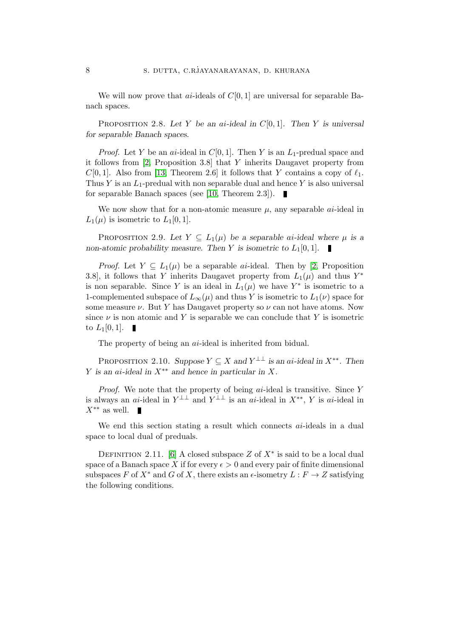We will now prove that *ai*-ideals of  $C[0, 1]$  are universal for separable Banach spaces.

PROPOSITION 2.8. Let Y be an ai-ideal in  $C[0, 1]$ . Then Y is universal for separable Banach spaces.

*Proof.* Let Y be an ai-ideal in  $C[0, 1]$ . Then Y is an  $L_1$ -predual space and it follows from [\[2,](#page-15-1) Proposition 3.8] that Y inherits Daugavet property from  $C[0, 1]$ . Also from [\[13,](#page-16-1) Theorem 2.6] it follows that Y contains a copy of  $\ell_1$ . Thus Y is an  $L_1$ -predual with non separable dual and hence Y is also universal for separable Banach spaces (see [\[10,](#page-16-2) Theorem 2.3]).

We now show that for a non-atomic measure  $\mu$ , any separable *ai*-ideal in  $L_1(\mu)$  is isometric to  $L_1[0,1]$ .

PROPOSITION 2.9. Let  $Y \subseteq L_1(\mu)$  be a separable ai-ideal where  $\mu$  is a non-atomic probability measure. Then Y is isometric to  $L_1[0, 1]$ .

*Proof.* Let  $Y \subseteq L_1(\mu)$  be a separable *ai*-ideal. Then by [\[2,](#page-15-1) Proposition 3.8], it follows that Y inherits Daugavet property from  $L_1(\mu)$  and thus  $Y^*$ is non separable. Since Y is an ideal in  $L_1(\mu)$  we have Y<sup>\*</sup> is isometric to a 1-complemented subspace of  $L_{\infty}(\mu)$  and thus Y is isometric to  $L_1(\nu)$  space for some measure  $\nu$ . But Y has Daugavet property so  $\nu$  can not have atoms. Now since  $\nu$  is non atomic and Y is separable we can conclude that Y is isometric to  $L_1[0,1]$ .

The property of being an *ai*-ideal is inherited from bidual.

PROPOSITION 2.10. Suppose  $Y \subseteq X$  and  $Y^{\perp\perp}$  is an ai-ideal in  $X^{**}$ . Then Y is an ai-ideal in  $X^{**}$  and hence in particular in X.

*Proof.* We note that the property of being  $ai$ -ideal is transitive. Since  $Y$ is always an ai-ideal in  $Y^{\perp\perp}$  and  $Y^{\perp\perp}$  is an ai-ideal in  $X^{**}$ , Y is ai-ideal in  $X^{**}$  as well. П

We end this section stating a result which connects *ai*-ideals in a dual space to local dual of preduals.

DEFINITION 2.11. [\[6\]](#page-15-2) A closed subspace Z of  $X^*$  is said to be a local dual space of a Banach space X if for every  $\epsilon > 0$  and every pair of finite dimensional subspaces F of  $X^*$  and G of X, there exists an  $\epsilon$ -isometry  $L : F \to Z$  satisfying the following conditions.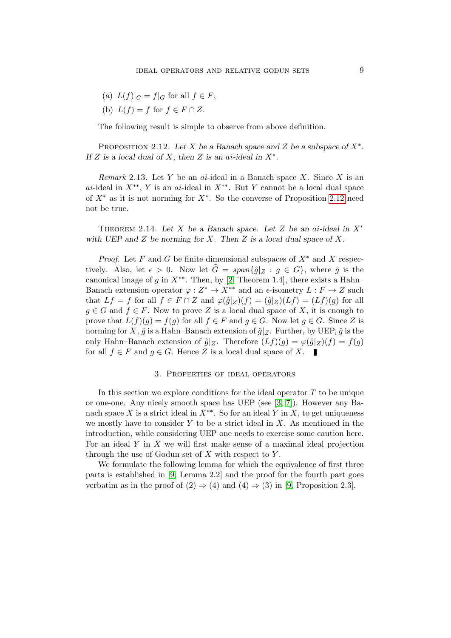- (a)  $L(f)|_G = f|_G$  for all  $f \in F$ ,
- (b)  $L(f) = f$  for  $f \in F \cap Z$ .

The following result is simple to observe from above definition.

<span id="page-8-0"></span>PROPOSITION 2.12. Let X be a Banach space and Z be a subspace of  $X^*$ . If Z is a local dual of X, then Z is an ai-ideal in  $X^*$ .

Remark 2.13. Let Y be an ai-ideal in a Banach space X. Since X is an ai-ideal in  $X^{**}$ , Y is an ai-ideal in  $X^{**}$ . But Y cannot be a local dual space of  $X^*$  as it is not norming for  $X^*$ . So the converse of Proposition [2.12](#page-8-0) need not be true.

THEOREM 2.14. Let X be a Banach space. Let Z be an ai-ideal in  $X^*$ with UEP and  $Z$  be norming for  $X$ . Then  $Z$  is a local dual space of  $X$ .

*Proof.* Let F and G be finite dimensional subspaces of  $X^*$  and X respectively. Also, let  $\epsilon > 0$ . Now let  $\hat{G} = span{\{\hat{g} \mid Z : g \in G\}}$ , where  $\hat{g}$  is the canonical image of g in  $X^{**}$ . Then, by [\[2,](#page-15-1) Theorem 1.4], there exists a Hahn– Banach extension operator  $\varphi: Z^* \to X^{**}$  and an  $\epsilon$ -isometry  $L: F \to Z$  such that  $Lf = f$  for all  $f \in F \cap Z$  and  $\varphi(\hat{g}|_Z)(f) = (\hat{g}|_Z)(Lf) = (Lf)(g)$  for all  $g \in G$  and  $f \in F$ . Now to prove Z is a local dual space of X, it is enough to prove that  $L(f)(g) = f(g)$  for all  $f \in F$  and  $g \in G$ . Now let  $g \in G$ . Since Z is norming for X,  $\hat{g}$  is a Hahn–Banach extension of  $\hat{g}|_Z$ . Further, by UEP,  $\hat{g}$  is the only Hahn–Banach extension of  $\hat{g}|_Z$ . Therefore  $(Lf)(g) = \varphi(\hat{g}|_Z)(f) = f(g)$ for all  $f \in F$  and  $g \in G$ . Hence Z is a local dual space of X.

### 3. Properties of ideal operators

In this section we explore conditions for the ideal operator  $T$  to be unique or one-one. Any nicely smooth space has UEP (see [\[3,](#page-15-3) [7\]](#page-15-4)). However any Banach space X is a strict ideal in  $X^{**}$ . So for an ideal Y in X, to get uniqueness we mostly have to consider  $Y$  to be a strict ideal in  $X$ . As mentioned in the introduction, while considering UEP one needs to exercise some caution here. For an ideal  $Y$  in  $X$  we will first make sense of a maximal ideal projection through the use of Godun set of  $X$  with respect to  $Y$ .

<span id="page-8-1"></span>We formulate the following lemma for which the equivalence of first three parts is established in [\[9,](#page-15-0) Lemma 2.2] and the proof for the fourth part goes verbatim as in the proof of  $(2) \Rightarrow (4)$  and  $(4) \Rightarrow (3)$  in [\[9,](#page-15-0) Proposition 2.3].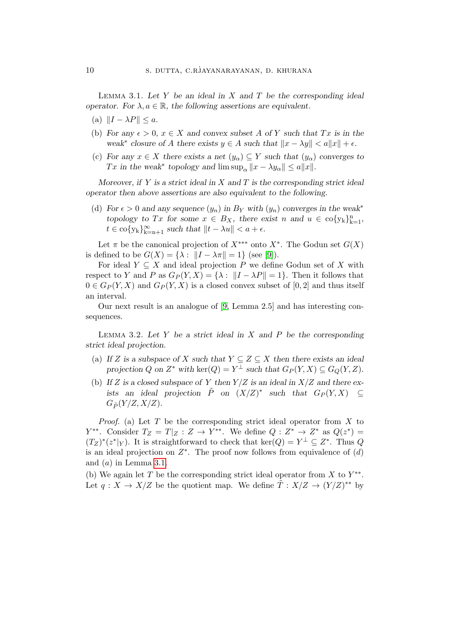LEMMA 3.1. Let  $Y$  be an ideal in  $X$  and  $T$  be the corresponding ideal operator. For  $\lambda, a \in \mathbb{R}$ , the following assertions are equivalent.

- (a)  $||I \lambda P|| \leq a$ .
- (b) For any  $\epsilon > 0$ ,  $x \in X$  and convex subset A of Y such that Tx is in the weak<sup>\*</sup> closure of A there exists  $y \in A$  such that  $||x - \lambda y|| < a||x|| + \epsilon$ .
- (c) For any  $x \in X$  there exists a net  $(y_\alpha) \subseteq Y$  such that  $(y_\alpha)$  converges to Tx in the weak<sup>∗</sup> topology and  $\limsup_{\alpha} ||x - \lambda y_{\alpha}|| \le a||x||$ .

Moreover, if Y is a strict ideal in X and T is the corresponding strict ideal operator then above assertions are also equivalent to the following.

(d) For  $\epsilon > 0$  and any sequence  $(y_n)$  in  $B_Y$  with  $(y_n)$  converges in the weak<sup>\*</sup> topology to Tx for some  $x \in B_X$ , there exist n and  $u \in \text{co}\{y_k\}_{k=1}^n$ ,  $t \in \text{co}\{y_k\}_{k=n+1}^{\infty} \text{ such that } ||t - \lambda u|| < a + \epsilon.$ 

Let  $\pi$  be the canonical projection of  $X^{***}$  onto  $X^*$ . The Godun set  $G(X)$ is defined to be  $G(X) = \{\lambda : ||I - \lambda \pi|| = 1\}$  (see [\[9\]](#page-15-0)).

For ideal  $Y \subseteq X$  and ideal projection P we define Godun set of X with respect to Y and P as  $G_P(Y, X) = \{\lambda : ||I - \lambda P|| = 1\}$ . Then it follows that  $0 \in G_P(Y, X)$  and  $G_P(Y, X)$  is a closed convex subset of [0, 2] and thus itself an interval.

Our next result is an analogue of [\[9,](#page-15-0) Lemma 2.5] and has interesting consequences.

<span id="page-9-0"></span>LEMMA 3.2. Let Y be a strict ideal in X and P be the corresponding strict ideal projection.

- (a) If Z is a subspace of X such that  $Y \subseteq Z \subseteq X$  then there exists an ideal projection Q on  $Z^*$  with  $\ker(Q) = Y^{\perp}$  such that  $G_P(Y, X) \subseteq G_Q(Y, Z)$ .
- (b) If Z is a closed subspace of Y then  $Y/Z$  is an ideal in  $X/Z$  and there exists an ideal projection  $\tilde{P}$  on  $(X/Z)^*$  such that  $G_P(Y, X) \subseteq$  $G_{\tilde{P}}(Y/Z, X/Z).$

*Proof.* (a) Let  $T$  be the corresponding strict ideal operator from  $X$  to  $Y^{**}$ . Consider  $T_Z = T|_Z : Z \to Y^{**}$ . We define  $Q: Z^* \to Z^*$  as  $Q(z^*) =$  $(T_Z)^*(z^*|_Y)$ . It is straightforward to check that ker $(Q) = Y^\perp \subseteq Z^*$ . Thus Q is an ideal projection on  $Z^*$ . The proof now follows from equivalence of  $(d)$ and  $(a)$  in Lemma [3.1.](#page-8-1)

(b) We again let T be the corresponding strict ideal operator from X to  $Y^{**}$ . Let  $q: X \to X/Z$  be the quotient map. We define  $\tilde{T}: X/Z \to (Y/Z)^{**}$  by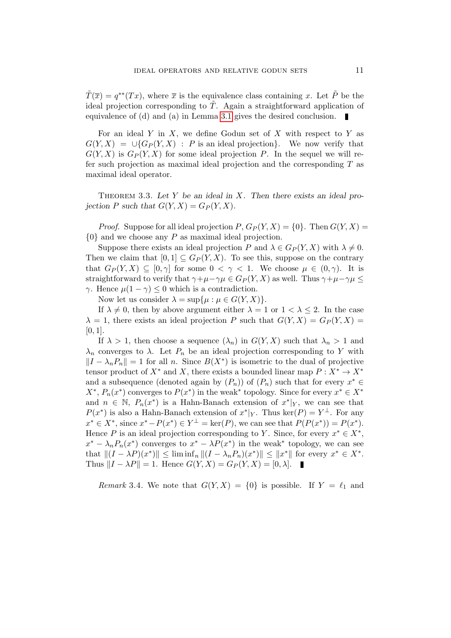$\tilde{T}(\overline{x}) = q^{**}(Tx)$ , where  $\overline{x}$  is the equivalence class containing x. Let  $\tilde{P}$  be the ideal projection corresponding to  $\tilde{T}$ . Again a straightforward application of equivalence of (d) and (a) in Lemma [3.1](#page-8-1) gives the desired conclusion.

For an ideal Y in X, we define Godun set of X with respect to Y as  $G(Y, X) = \bigcup \{G_P(Y, X) : P \text{ is an ideal projection}\}.$  We now verify that  $G(Y, X)$  is  $G_P(Y, X)$  for some ideal projection P. In the sequel we will refer such projection as maximal ideal projection and the corresponding  $T$  as maximal ideal operator.

THEOREM 3.3. Let Y be an ideal in X. Then there exists an ideal projection P such that  $G(Y, X) = G_P(Y, X)$ .

*Proof.* Suppose for all ideal projection  $P, G_P(Y, X) = \{0\}$ . Then  $G(Y, X) =$  ${0}$  and we choose any P as maximal ideal projection.

Suppose there exists an ideal projection P and  $\lambda \in G_P(Y, X)$  with  $\lambda \neq 0$ . Then we claim that  $[0, 1] \subseteq G_P(Y, X)$ . To see this, suppose on the contrary that  $G_P(Y, X) \subseteq [0, \gamma]$  for some  $0 < \gamma < 1$ . We choose  $\mu \in (0, \gamma)$ . It is straightforward to verify that  $\gamma+\mu-\gamma\mu \in G_P(Y,X)$  as well. Thus  $\gamma+\mu-\gamma\mu \leq$ γ. Hence  $\mu(1 − \gamma) ≤ 0$  which is a contradiction.

Now let us consider  $\lambda = \sup\{\mu : \mu \in G(Y,X)\}.$ 

If  $\lambda \neq 0$ , then by above argument either  $\lambda = 1$  or  $1 < \lambda \leq 2$ . In the case  $\lambda = 1$ , there exists an ideal projection P such that  $G(Y, X) = G_P(Y, X)$ [0, 1].

If  $\lambda > 1$ , then choose a sequence  $(\lambda_n)$  in  $G(Y, X)$  such that  $\lambda_n > 1$  and  $\lambda_n$  converges to  $\lambda$ . Let  $P_n$  be an ideal projection corresponding to Y with  $||I - \lambda_n P_n|| = 1$  for all n. Since  $B(X^*)$  is isometric to the dual of projective tensor product of  $X^*$  and X, there exists a bounded linear map  $P: X^* \to X^*$ and a subsequence (denoted again by  $(P_n)$ ) of  $(P_n)$  such that for every  $x^* \in$  $X^*, P_n(x^*)$  converges to  $P(x^*)$  in the weak<sup>\*</sup> topology. Since for every  $x^* \in X^*$ and  $n \in \mathbb{N}$ ,  $P_n(x^*)$  is a Hahn-Banach extension of  $x^*|_Y$ , we can see that  $P(x^*)$  is also a Hahn-Banach extension of  $x^*|_Y$ . Thus  $\ker(P) = Y^{\perp}$ . For any  $x^* \in X^*$ , since  $x^* - P(x^*) \in Y^{\perp} = \text{ker}(P)$ , we can see that  $P(P(x^*)) = P(x^*)$ . Hence P is an ideal projection corresponding to Y. Since, for every  $x^* \in X^*$ ,  $x^* - \lambda_n P_n(x^*)$  converges to  $x^* - \lambda P(x^*)$  in the weak\* topology, we can see that  $||(I - \lambda P)(x^*)|| \leq \liminf_n ||(I - \lambda_n P_n)(x^*)|| \leq ||x^*||$  for every  $x^* \in X^*$ . Thus  $||I - \lambda P|| = 1$ . Hence  $G(Y, X) = G_P(Y, X) = [0, \lambda]$ .

Remark 3.4. We note that  $G(Y, X) = \{0\}$  is possible. If  $Y = \ell_1$  and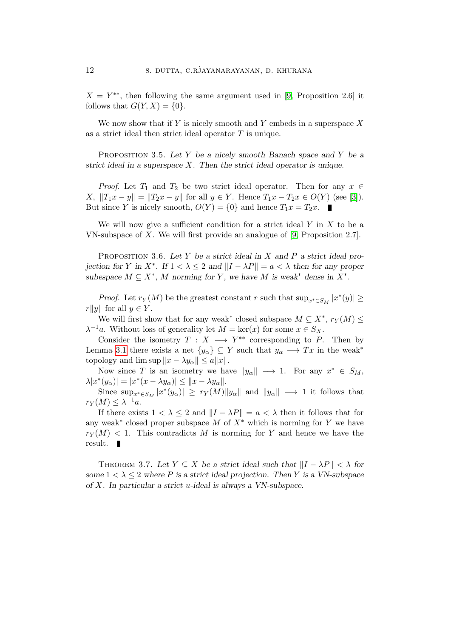$X = Y^{**}$ , then following the same argument used in [\[9,](#page-15-0) Proposition 2.6] it follows that  $G(Y, X) = \{0\}.$ 

We now show that if  $Y$  is nicely smooth and  $Y$  embeds in a superspace  $X$ as a strict ideal then strict ideal operator  $T$  is unique.

PROPOSITION 3.5. Let Y be a nicely smooth Banach space and Y be a strict ideal in a superspace  $X$ . Then the strict ideal operator is unique.

*Proof.* Let  $T_1$  and  $T_2$  be two strict ideal operator. Then for any  $x \in$ X,  $||T_1x - y|| = ||T_2x - y||$  for all  $y \in Y$ . Hence  $T_1x - T_2x \in O(Y)$  (see [\[3\]](#page-15-3)). But since Y is nicely smooth,  $O(Y) = \{0\}$  and hence  $T_1 x = T_2 x$ .

We will now give a sufficient condition for a strict ideal  $Y$  in  $X$  to be a VN-subspace of X. We will first provide an analogue of [\[9,](#page-15-0) Proposition 2.7].

<span id="page-11-0"></span>PROPOSITION 3.6. Let Y be a strict ideal in X and P a strict ideal projection for Y in  $X^*$ . If  $1 < \lambda \leq 2$  and  $||I - \lambda P|| = a < \lambda$  then for any proper subespace  $M \subseteq X^*$ , M norming for Y, we have M is weak<sup>\*</sup> dense in  $X^*$ .

*Proof.* Let  $r_Y(M)$  be the greatest constant r such that  $\sup_{x^* \in S_M} |x^*(y)| \ge$  $r||y||$  for all  $y \in Y$ .

We will first show that for any weak<sup>\*</sup> closed subspace  $M \subseteq X^*$ ,  $r_Y(M) \leq$  $\lambda^{-1}a$ . Without loss of generality let  $M = \text{ker}(x)$  for some  $x \in S_X$ .

Consider the isometry  $T : X \longrightarrow Y^{**}$  corresponding to P. Then by Lemma [3.1](#page-8-1) there exists a net  $\{y_\alpha\} \subseteq Y$  such that  $y_\alpha \longrightarrow Tx$  in the weak<sup>\*</sup> topology and  $\limsup ||x - \lambda y_{\alpha}|| \le a||x||.$ 

Now since T is an isometry we have  $||y_{\alpha}|| \longrightarrow 1$ . For any  $x^* \in S_M$ ,  $\lambda |x^*(y_\alpha)| = |x^*(x - \lambda y_\alpha)| \leq ||x - \lambda y_\alpha||.$ 

Since  $\sup_{x^* \in S_M} |x^*(y_\alpha)| \geq r_Y(M) ||y_\alpha||$  and  $||y_\alpha|| \longrightarrow 1$  it follows that  $r_Y(M) \leq \lambda^{-1}a.$ 

If there exists  $1 < \lambda \leq 2$  and  $||I - \lambda P|| = a < \lambda$  then it follows that for any weak<sup>\*</sup> closed proper subspace M of  $X^*$  which is norming for Y we have  $r_Y(M)$  < 1. This contradicts M is norming for Y and hence we have the result.

<span id="page-11-1"></span>THEOREM 3.7. Let  $Y \subseteq X$  be a strict ideal such that  $||I - \lambda P|| < \lambda$  for some  $1 < \lambda \leq 2$  where P is a strict ideal projection. Then Y is a VN-subspace of X. In particular a strict u-ideal is always a VN-subspace.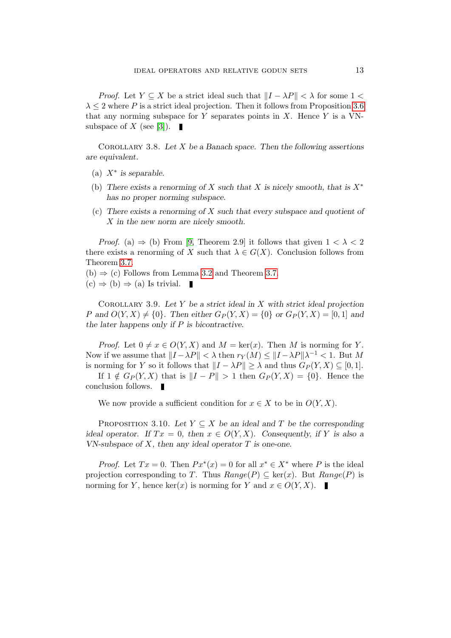*Proof.* Let  $Y \subseteq X$  be a strict ideal such that  $||I - \lambda P|| < \lambda$  for some 1 <  $\lambda \leq 2$  where P is a strict ideal projection. Then it follows from Proposition [3.6](#page-11-0) that any norming subspace for Y separates points in X. Hence Y is a VN-subspace of X (see [\[3\]](#page-15-3)).  $\blacksquare$ 

COROLLARY 3.8. Let  $X$  be a Banach space. Then the following assertions are equivalent.

- (a)  $X^*$  is separable.
- (b) There exists a renorming of X such that X is nicely smooth, that is  $X^*$ has no proper norming subspace.
- (c) There exists a renorming of X such that every subspace and quotient of X in the new norm are nicely smooth.

*Proof.* (a)  $\Rightarrow$  (b) From [\[9,](#page-15-0) Theorem 2.9] it follows that given  $1 < \lambda < 2$ there exists a renorming of X such that  $\lambda \in G(X)$ . Conclusion follows from Theorem [3.7.](#page-11-1)

- $(b) \Rightarrow (c)$  Follows from Lemma [3.2](#page-9-0) and Theorem [3.7.](#page-11-1)
- $(c) \Rightarrow (b) \Rightarrow (a)$  Is trivial. ×

COROLLARY 3.9. Let Y be a strict ideal in X with strict ideal projection P and  $O(Y, X) \neq \{0\}$ . Then either  $G_P(Y, X) = \{0\}$  or  $G_P(Y, X) = [0, 1]$  and the later happens only if  $P$  is bicontractive.

*Proof.* Let  $0 \neq x \in O(Y, X)$  and  $M = \text{ker}(x)$ . Then M is norming for Y. Now if we assume that  $||I - \lambda P|| < \lambda$  then  $r_Y(M) \le ||I - \lambda P||\lambda^{-1} < 1$ . But M is norming for Y so it follows that  $||I - \lambda P|| \geq \lambda$  and thus  $G_P(Y, X) \subseteq [0, 1].$ 

If  $1 \notin G_P(Y, X)$  that is  $||I - P|| > 1$  then  $G_P(Y, X) = \{0\}$ . Hence the conclusion follows.

We now provide a sufficient condition for  $x \in X$  to be in  $O(Y, X)$ .

PROPOSITION 3.10. Let  $Y \subseteq X$  be an ideal and T be the corresponding ideal operator. If  $Tx = 0$ , then  $x \in O(Y, X)$ . Consequently, if Y is also a VN-subspace of  $X$ , then any ideal operator  $T$  is one-one.

*Proof.* Let  $Tx = 0$ . Then  $Px^*(x) = 0$  for all  $x^* \in X^*$  where P is the ideal projection corresponding to T. Thus  $Range(P) \subseteq \text{ker}(x)$ . But  $Range(P)$  is norming for Y, hence ker(x) is norming for Y and  $x \in O(Y, X)$ .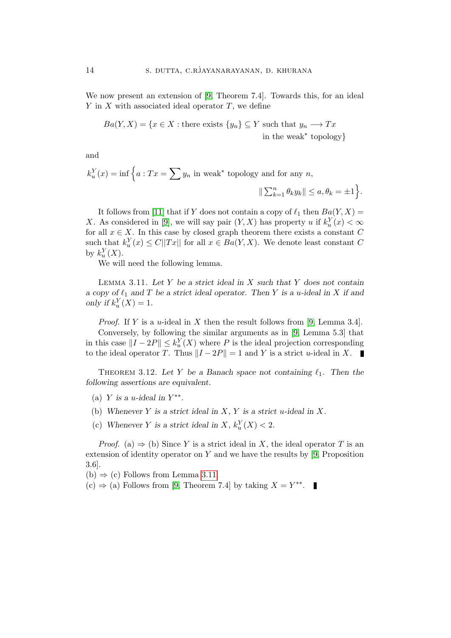We now present an extension of [\[9,](#page-15-0) Theorem 7.4]. Towards this, for an ideal  $Y$  in  $X$  with associated ideal operator  $T$ , we define

$$
Ba(Y, X) = \{x \in X : \text{there exists } \{y_n\} \subseteq Y \text{ such that } y_n \longrightarrow Tx
$$
  
in the weak<sup>\*</sup> topology}

and

 $k_u^Y(x) = \inf \left\{ a : Tx = \sum y_n \text{ in weak}^* \text{ topology and for any } n, \right\}$  $\|\sum_{k=1}^n \theta_k y_k\| \leq a, \theta_k = \pm 1\bigg\}.$ 

It follows from [\[11\]](#page-16-3) that if Y does not contain a copy of  $\ell_1$  then  $Ba(Y, X) =$ X. As considered in [\[9\]](#page-15-0), we will say pair  $(Y, X)$  has property u if  $k_u^Y(x) < \infty$ for all  $x \in X$ . In this case by closed graph theorem there exists a constant C such that  $k_u^Y(x) \leq C||Tx||$  for all  $x \in Ba(Y, X)$ . We denote least constant C by  $k_u^Y(X)$ .

We will need the following lemma.

<span id="page-13-0"></span>LEMMA 3.11. Let Y be a strict ideal in X such that Y does not contain a copy of  $\ell_1$  and T be a strict ideal operator. Then Y is a u-ideal in X if and only if  $k_u^Y(X) = 1$ .

*Proof.* If Y is a *u*-ideal in X then the result follows from [\[9,](#page-15-0) Lemma 3.4]. Conversely, by following the similar arguments as in [\[9,](#page-15-0) Lemma 5.3] that in this case  $||I - 2P|| \le k_u^Y(X)$  where P is the ideal projection corresponding to the ideal operator T. Thus  $||I - 2P|| = 1$  and Y is a strict u-ideal in X.

THEOREM 3.12. Let Y be a Banach space not containing  $\ell_1$ . Then the following assertions are equivalent.

- (a) Y is a u-ideal in  $Y^{**}$ .
- (b) Whenever Y is a strict ideal in X, Y is a strict u-ideal in X.
- (c) Whenever Y is a strict ideal in X,  $k_u^Y(X) < 2$ .

*Proof.* (a)  $\Rightarrow$  (b) Since Y is a strict ideal in X, the ideal operator T is an extension of identity operator on Y and we have the results by  $[9,$  Proposition 3.6].

 $(b) \Rightarrow (c)$  Follows from Lemma [3.11.](#page-13-0)

(c)  $\Rightarrow$  (a) Follows from [\[9,](#page-15-0) Theorem 7.4] by taking  $X = Y^{**}$ .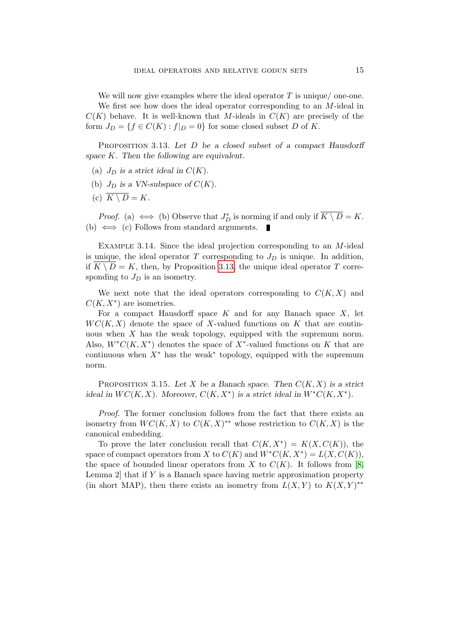We will now give examples where the ideal operator  $T$  is unique/ one-one. We first see how does the ideal operator corresponding to an M-ideal in  $C(K)$  behave. It is well-known that M-ideals in  $C(K)$  are precisely of the form  $J_D = \{f \in C(K) : f|_D = 0\}$  for some closed subset D of K.

PROPOSITION 3.13. Let D be a closed subset of a compact Hausdorff space K. Then the following are equivalent.

- <span id="page-14-0"></span>(a)  $J_D$  is a strict ideal in  $C(K)$ .
- (b)  $J_D$  is a VN-subspace of  $C(K)$ .
- (c)  $\overline{K \setminus D} = K$ .

*Proof.* (a)  $\iff$  (b) Observe that  $J_D^*$  is norming if and only if  $\overline{K \setminus D} = K$ . (b)  $\iff$  (c) Follows from standard arguments.

EXAMPLE 3.14. Since the ideal projection corresponding to an  $M$ -ideal is unique, the ideal operator  $T$  corresponding to  $J_D$  is unique. In addition, if  $K \setminus D = K$ , then, by Proposition [3.13,](#page-14-0) the unique ideal operator T corresponding to  $J_D$  is an isometry.

We next note that the ideal operators corresponding to  $C(K, X)$  and  $C(K, X^*)$  are isometries.

For a compact Hausdorff space  $K$  and for any Banach space  $X$ , let  $WC(K, X)$  denote the space of X-valued functions on K that are continuous when  $X$  has the weak topology, equipped with the supremum norm. Also,  $W^*C(K,X^*)$  denotes the space of  $X^*$ -valued functions on K that are continuous when  $X^*$  has the weak<sup>\*</sup> topology, equipped with the supremum norm.

PROPOSITION 3.15. Let X be a Banach space. Then  $C(K, X)$  is a strict ideal in  $WC(K, X)$ . Moreover,  $C(K, X^*)$  is a strict ideal in  $W^*C(K, X^*)$ .

Proof. The former conclusion follows from the fact that there exists an isometry from  $WC(K, X)$  to  $C(K, X)^{**}$  whose restriction to  $C(K, X)$  is the canonical embedding.

To prove the later conclusion recall that  $C(K, X^*) = K(X, C(K))$ , the space of compact operators from X to  $C(K)$  and  $W^*C(K,X^*) = L(X,C(K)),$ the space of bounded linear operators from X to  $C(K)$ . It follows from [\[8,](#page-15-6) Lemma  $2$  that if Y is a Banach space having metric approximation property (in short MAP), then there exists an isometry from  $L(X,Y)$  to  $K(X,Y)^{**}$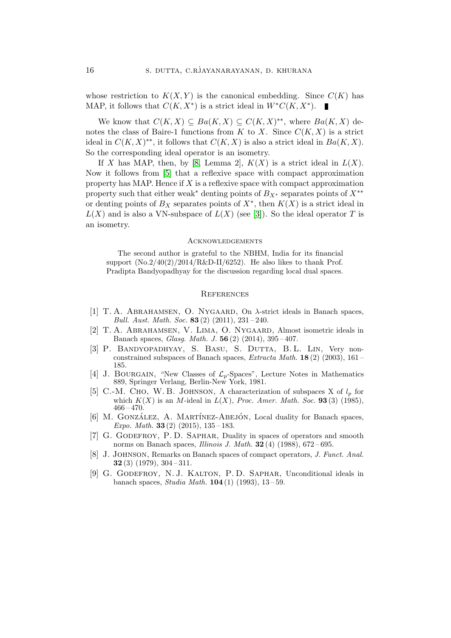whose restriction to  $K(X, Y)$  is the canonical embedding. Since  $C(K)$  has MAP, it follows that  $C(K, X^*)$  is a strict ideal in  $W^*C(K, X^*)$ .

We know that  $C(K, X) \subseteq Ba(K, X) \subseteq C(K, X)^{**}$ , where  $Ba(K, X)$  denotes the class of Baire-1 functions from K to X. Since  $C(K, X)$  is a strict ideal in  $C(K, X)^{**}$ , it follows that  $C(K, X)$  is also a strict ideal in  $Ba(K, X)$ . So the corresponding ideal operator is an isometry.

If X has MAP, then, by [\[8,](#page-15-6) Lemma 2],  $K(X)$  is a strict ideal in  $L(X)$ . Now it follows from [\[5\]](#page-15-7) that a reflexive space with compact approximation property has MAP. Hence if  $X$  is a reflexive space with compact approximation property such that either weak<sup>\*</sup> denting points of  $B_{X^*}$  separates points of  $X^{**}$ or denting points of  $B_X$  separates points of  $X^*$ , then  $K(X)$  is a strict ideal in  $L(X)$  and is also a VN-subspace of  $L(X)$  (see [\[3\]](#page-15-3)). So the ideal operator T is an isometry.

#### **ACKNOWLEDGEMENTS**

The second author is grateful to the NBHM, India for its financial support  $(No.2/40(2)/2014/R&D-II/6252)$ . He also likes to thank Prof. Pradipta Bandyopadhyay for the discussion regarding local dual spaces.

# **REFERENCES**

- [1] T. A. ABRAHAMSEN, O. NYGAARD, On  $\lambda$ -strict ideals in Banach spaces, Bull. Aust. Math. Soc. 83 $(2)$   $(2011)$ ,  $231-240$ .
- <span id="page-15-1"></span>[2] T. A. Abrahamsen, V. Lima, O. Nygaard, Almost isometric ideals in Banach spaces, Glasg. Math. J. 56 (2) (2014), 395 – 407.
- <span id="page-15-3"></span>[3] P. BANDYOPADHYAY, S. BASU, S. DUTTA, B.L. LIN, Very nonconstrained subspaces of Banach spaces, Extracta Math. 18 (2) (2003), 161 – 185.
- <span id="page-15-5"></span>[4] J. BOURGAIN, "New Classes of  $\mathcal{L}_p$ -Spaces", Lecture Notes in Mathematics 889, Springer Verlang, Berlin-New York, 1981.
- <span id="page-15-7"></span>[5] C.-M. CHO, W. B. JOHNSON, A characterization of subspaces X of  $l_p$  for which  $K(X)$  is an M-ideal in  $L(X)$ , Proc. Amer. Math. Soc. 93 (3) (1985),  $466 - 470.$
- <span id="page-15-2"></span> $[6]$  M. GONZÁLEZ, A. MARTÍNEZ-ABEJÓN, Local duality for Banach spaces, Expo. Math. 33 (2) (2015),  $135-183$ .
- <span id="page-15-4"></span>[7] G. Godefroy, P. D. Saphar, Duality in spaces of operators and smooth norms on Banach spaces, *Illinois J. Math.*  $32(4)$  (1988),  $672-695$ .
- <span id="page-15-6"></span>[8] J. Johnson, Remarks on Banach spaces of compact operators, J. Funct. Anal. **32** (3) (1979),  $304 - 311$ .
- <span id="page-15-0"></span>[9] G. Godefroy, N. J. Kalton, P. D. Saphar, Unconditional ideals in banach spaces, *Studia Math.* **104** (1) (1993),  $13-59$ .